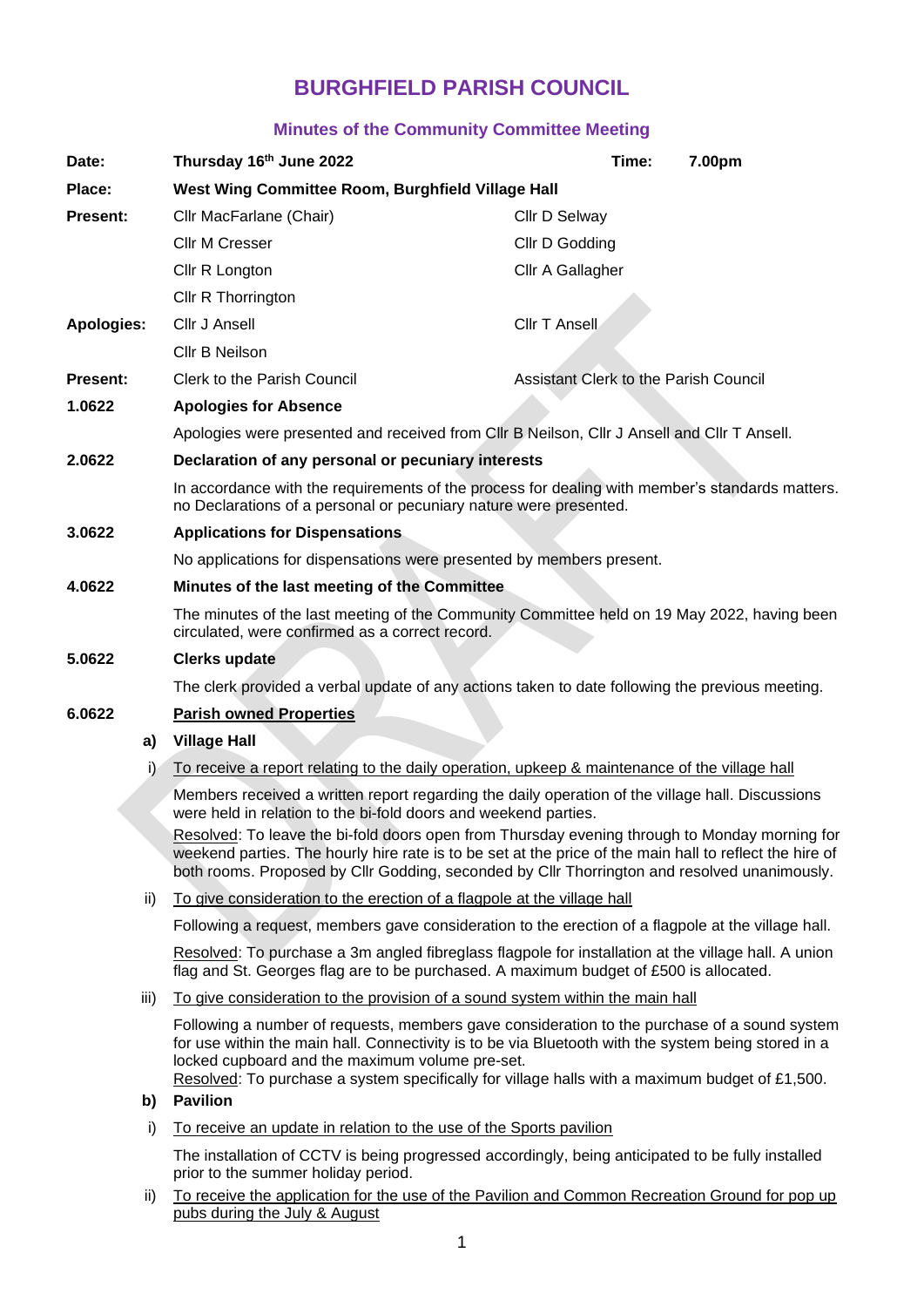# **BURGHFIELD PARISH COUNCIL**

## **Minutes of the Community Committee Meeting**

| West Wing Committee Room, Burghfield Village Hall<br>Place:                                                                                                                                                                                                                                              |  |
|----------------------------------------------------------------------------------------------------------------------------------------------------------------------------------------------------------------------------------------------------------------------------------------------------------|--|
|                                                                                                                                                                                                                                                                                                          |  |
| <b>Present:</b><br>Cllr MacFarlane (Chair)<br>Cllr D Selway                                                                                                                                                                                                                                              |  |
| <b>CIIr M Cresser</b><br>Cllr D Godding                                                                                                                                                                                                                                                                  |  |
| Cllr R Longton<br>Cllr A Gallagher                                                                                                                                                                                                                                                                       |  |
| <b>CIIr R Thorrington</b>                                                                                                                                                                                                                                                                                |  |
| <b>Cllr T Ansell</b><br>Cllr J Ansell<br><b>Apologies:</b>                                                                                                                                                                                                                                               |  |
| Cllr B Neilson                                                                                                                                                                                                                                                                                           |  |
| Clerk to the Parish Council<br>Assistant Clerk to the Parish Council<br><b>Present:</b>                                                                                                                                                                                                                  |  |
| 1.0622<br><b>Apologies for Absence</b>                                                                                                                                                                                                                                                                   |  |
| Apologies were presented and received from Cllr B Neilson, Cllr J Ansell and Cllr T Ansell.                                                                                                                                                                                                              |  |
| 2.0622<br>Declaration of any personal or pecuniary interests                                                                                                                                                                                                                                             |  |
| In accordance with the requirements of the process for dealing with member's standards matters.<br>no Declarations of a personal or pecuniary nature were presented.                                                                                                                                     |  |
| 3.0622<br><b>Applications for Dispensations</b>                                                                                                                                                                                                                                                          |  |
| No applications for dispensations were presented by members present.                                                                                                                                                                                                                                     |  |
| 4.0622<br>Minutes of the last meeting of the Committee                                                                                                                                                                                                                                                   |  |
| The minutes of the last meeting of the Community Committee held on 19 May 2022, having been<br>circulated, were confirmed as a correct record.                                                                                                                                                           |  |
| 5.0622<br><b>Clerks update</b>                                                                                                                                                                                                                                                                           |  |
| The clerk provided a verbal update of any actions taken to date following the previous meeting.                                                                                                                                                                                                          |  |
| 6.0622<br><b>Parish owned Properties</b>                                                                                                                                                                                                                                                                 |  |
| <b>Village Hall</b><br>a)                                                                                                                                                                                                                                                                                |  |
| To receive a report relating to the daily operation, upkeep & maintenance of the village hall<br>i)                                                                                                                                                                                                      |  |
| Members received a written report regarding the daily operation of the village hall. Discussions<br>were held in relation to the bi-fold doors and weekend parties.                                                                                                                                      |  |
| Resolved: To leave the bi-fold doors open from Thursday evening through to Monday morning for<br>weekend parties. The hourly hire rate is to be set at the price of the main hall to reflect the hire of<br>both rooms. Proposed by Cllr Godding, seconded by Cllr Thorrington and resolved unanimously. |  |
| ii)<br>To give consideration to the erection of a flagpole at the village hall                                                                                                                                                                                                                           |  |
| Following a request, members gave consideration to the erection of a flagpole at the village hall.                                                                                                                                                                                                       |  |
| Resolved: To purchase a 3m angled fibreglass flagpole for installation at the village hall. A union<br>flag and St. Georges flag are to be purchased. A maximum budget of £500 is allocated.                                                                                                             |  |
| To give consideration to the provision of a sound system within the main hall<br>iii)                                                                                                                                                                                                                    |  |
| Following a number of requests, members gave consideration to the purchase of a sound system<br>for use within the main hall. Connectivity is to be via Bluetooth with the system being stored in a<br>locked cupboard and the maximum volume pre-set.                                                   |  |
| Resolved: To purchase a system specifically for village halls with a maximum budget of £1,500.                                                                                                                                                                                                           |  |
| <b>Pavilion</b><br>b)<br>To receive an update in relation to the use of the Sports pavilion<br>i)                                                                                                                                                                                                        |  |

The installation of CCTV is being progressed accordingly, being anticipated to be fully installed prior to the summer holiday period.

ii) To receive the application for the use of the Pavilion and Common Recreation Ground for pop up pubs during the July & August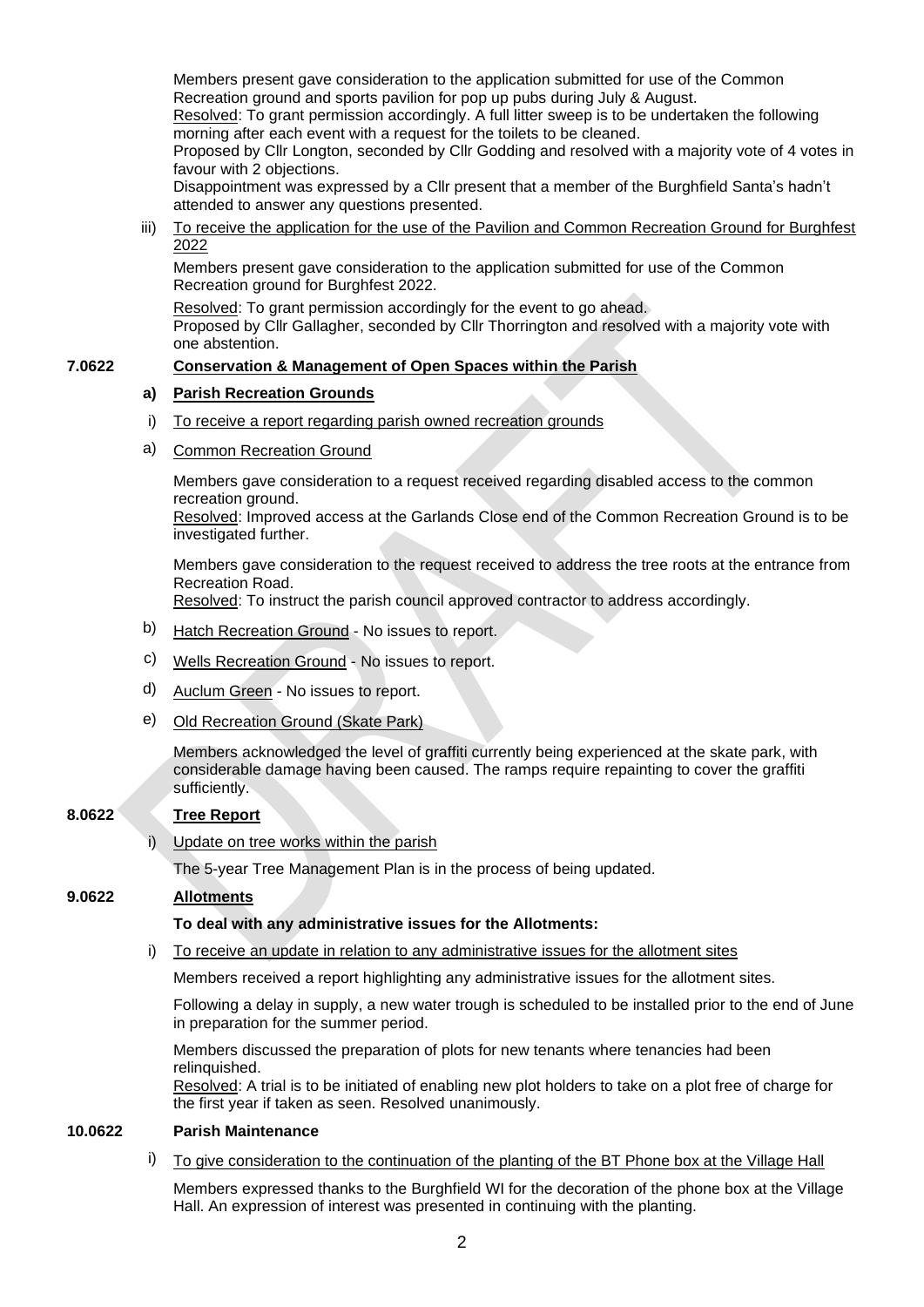Members present gave consideration to the application submitted for use of the Common Recreation ground and sports pavilion for pop up pubs during July & August. Resolved: To grant permission accordingly. A full litter sweep is to be undertaken the following morning after each event with a request for the toilets to be cleaned. Proposed by Cllr Longton, seconded by Cllr Godding and resolved with a majority vote of 4 votes in

favour with 2 objections. Disappointment was expressed by a Cllr present that a member of the Burghfield Santa's hadn't

attended to answer any questions presented. iii) To receive the application for the use of the Pavilion and Common Recreation Ground for Burghfest 2022

Members present gave consideration to the application submitted for use of the Common Recreation ground for Burghfest 2022.

Resolved: To grant permission accordingly for the event to go ahead.

Proposed by Cllr Gallagher, seconded by Cllr Thorrington and resolved with a majority vote with one abstention.

#### **7.0622 Conservation & Management of Open Spaces within the Parish**

#### **a) Parish Recreation Grounds**

- i) To receive a report regarding parish owned recreation grounds
- a) Common Recreation Ground

Members gave consideration to a request received regarding disabled access to the common recreation ground.

Resolved: Improved access at the Garlands Close end of the Common Recreation Ground is to be investigated further.

Members gave consideration to the request received to address the tree roots at the entrance from Recreation Road.

Resolved: To instruct the parish council approved contractor to address accordingly.

- b) Hatch Recreation Ground No issues to report.
- c) Wells Recreation Ground No issues to report.
- d) Auclum Green No issues to report.
- e) Old Recreation Ground (Skate Park)

Members acknowledged the level of graffiti currently being experienced at the skate park, with considerable damage having been caused. The ramps require repainting to cover the graffiti sufficiently.

#### **8.0622 Tree Report**

i) Update on tree works within the parish

The 5-year Tree Management Plan is in the process of being updated.

### **9.0622 Allotments**

#### **To deal with any administrative issues for the Allotments:**

i) To receive an update in relation to any administrative issues for the allotment sites

Members received a report highlighting any administrative issues for the allotment sites.

Following a delay in supply, a new water trough is scheduled to be installed prior to the end of June in preparation for the summer period.

Members discussed the preparation of plots for new tenants where tenancies had been relinquished.

Resolved: A trial is to be initiated of enabling new plot holders to take on a plot free of charge for the first year if taken as seen. Resolved unanimously.

#### **10.0622 Parish Maintenance**

 $i)$  To give consideration to the continuation of the planting of the BT Phone box at the Village Hall

Members expressed thanks to the Burghfield WI for the decoration of the phone box at the Village Hall. An expression of interest was presented in continuing with the planting.